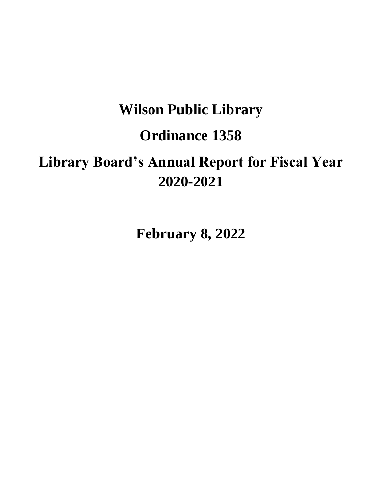# **Wilson Public Library**

# **Ordinance 1358**

# **Library Board's Annual Report for Fiscal Year 2020-2021**

**February 8, 2022**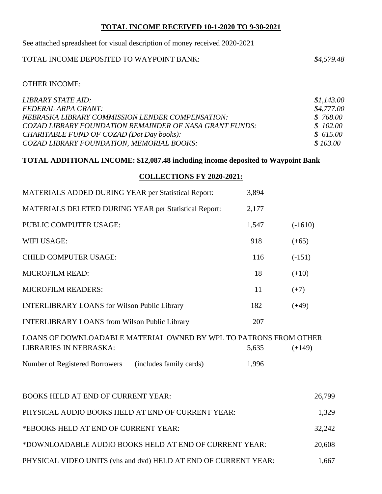#### **TOTAL INCOME RECEIVED 10-1-2020 TO 9-30-2021**

See attached spreadsheet for visual description of money received 2020-2021

### TOTAL INCOME DEPOSITED TO WAYPOINT BANK: *\$4,579.48*

#### OTHER INCOME:

| LIBRARY STATE AID:                                             | \$1,143.00 |
|----------------------------------------------------------------|------------|
| <b>FEDERAL ARPA GRANT:</b>                                     | \$4,777.00 |
| NEBRASKA LIBRARY COMMISSION LENDER COMPENSATION:               | \$768.00   |
| <b>COZAD LIBRARY FOUNDATION REMAINDER OF NASA GRANT FUNDS:</b> | \$102.00   |
| CHARITABLE FUND OF COZAD (Dot Day books):                      | \$615.00   |
| COZAD LIBRARY FOUNDATION, MEMORIAL BOOKS:                      | \$103.00   |

#### **TOTAL ADDITIONAL INCOME: \$12,087.48 including income deposited to Waypoint Bank**

| MATERIALS ADDED DURING YEAR per Statistical Report:                                                | 3,894 |           |
|----------------------------------------------------------------------------------------------------|-------|-----------|
| <b>MATERIALS DELETED DURING YEAR per Statistical Report:</b>                                       | 2,177 |           |
| PUBLIC COMPUTER USAGE:                                                                             | 1,547 | $(-1610)$ |
| <b>WIFI USAGE:</b>                                                                                 | 918   | $(+65)$   |
| <b>CHILD COMPUTER USAGE:</b>                                                                       | 116   | $(-151)$  |
| <b>MICROFILM READ:</b>                                                                             | 18    | $(+10)$   |
| <b>MICROFILM READERS:</b>                                                                          |       | $(+7)$    |
| <b>INTERLIBRARY LOANS for Wilson Public Library</b><br>182                                         |       | $(+49)$   |
| <b>INTERLIBRARY LOANS from Wilson Public Library</b>                                               | 207   |           |
| LOANS OF DOWNLOADABLE MATERIAL OWNED BY WPL TO PATRONS FROM OTHER<br><b>LIBRARIES IN NEBRASKA:</b> | 5,635 | $(+149)$  |
| Number of Registered Borrowers<br>(includes family cards)                                          | 1,996 |           |
|                                                                                                    |       |           |
| <b>BOOKS HELD AT END OF CURRENT YEAR:</b>                                                          |       | 26,799    |
| PHYSICAL AUDIO BOOKS HELD AT END OF CURRENT YEAR:                                                  |       | 1,329     |
| *EBOOKS HELD AT END OF CURRENT YEAR:                                                               |       | 32,242    |
| *DOWNLOADABLE AUDIO BOOKS HELD AT END OF CURRENT YEAR:<br>20,608                                   |       |           |
| PHYSICAL VIDEO UNITS (vhs and dvd) HELD AT END OF CURRENT YEAR:                                    |       | 1,667     |

#### **COLLECTIONS FY 2020-2021:**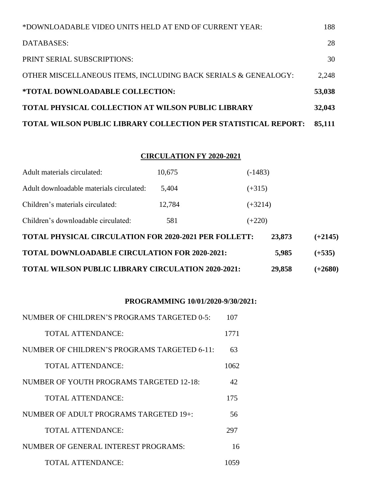| *DOWNLOADABLE VIDEO UNITS HELD AT END OF CURRENT YEAR:         | 188    |
|----------------------------------------------------------------|--------|
| DATABASES:                                                     | 28     |
| PRINT SERIAL SUBSCRIPTIONS:                                    | 30     |
| OTHER MISCELLANEOUS ITEMS, INCLUDING BACK SERIALS & GENEALOGY: | 2,248  |
| *TOTAL DOWNLOADABLE COLLECTION:                                | 53,038 |
| <b>TOTAL PHYSICAL COLLECTION AT WILSON PUBLIC LIBRARY</b>      | 32,043 |
| TOTAL WILSON PUBLIC LIBRARY COLLECTION PER STATISTICAL REPORT: | 85,111 |

### **CIRCULATION FY 2020-2021**

| <b>TOTAL WILSON PUBLIC LIBRARY CIRCULATION 2020-2021:</b>    |        |           | 29,858 | $(+2680)$ |
|--------------------------------------------------------------|--------|-----------|--------|-----------|
| <b>TOTAL DOWNLOADABLE CIRCULATION FOR 2020-2021:</b>         |        |           | 5,985  | $(+535)$  |
| <b>TOTAL PHYSICAL CIRCULATION FOR 2020-2021 PER FOLLETT:</b> |        |           | 23,873 | $(+2145)$ |
| Children's downloadable circulated:                          | 581    | $(+220)$  |        |           |
| Children's materials circulated:                             | 12,784 | $(+3214)$ |        |           |
| Adult downloadable materials circulated:                     | 5,404  | $(+315)$  |        |           |
| Adult materials circulated:                                  | 10,675 | $(-1483)$ |        |           |

#### **PROGRAMMING 10/01/2020-9/30/2021:**

| NUMBER OF CHILDREN'S PROGRAMS TARGETED 0-5:  | 107  |
|----------------------------------------------|------|
| <b>TOTAL ATTENDANCE:</b>                     | 1771 |
| NUMBER OF CHILDREN'S PROGRAMS TARGETED 6-11: | 63   |
| TOTAL ATTENDANCE:                            | 1062 |
| NUMBER OF YOUTH PROGRAMS TARGETED 12-18:     | 42   |
| TOTAL ATTENDANCE:                            | 175  |
| NUMBER OF ADULT PROGRAMS TARGETED 19+:       | 56   |
| <b>TOTAL ATTENDANCE:</b>                     | 297  |
| NUMBER OF GENERAL INTEREST PROGRAMS:         | 16   |
| TOTAL ATTENDANCE:                            | 1059 |